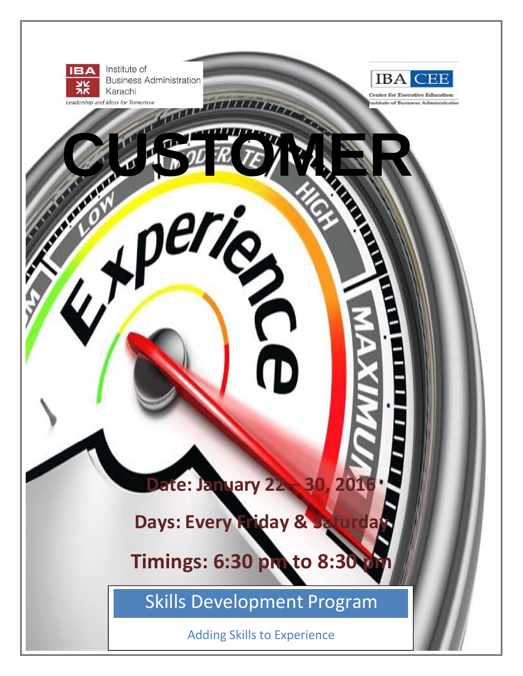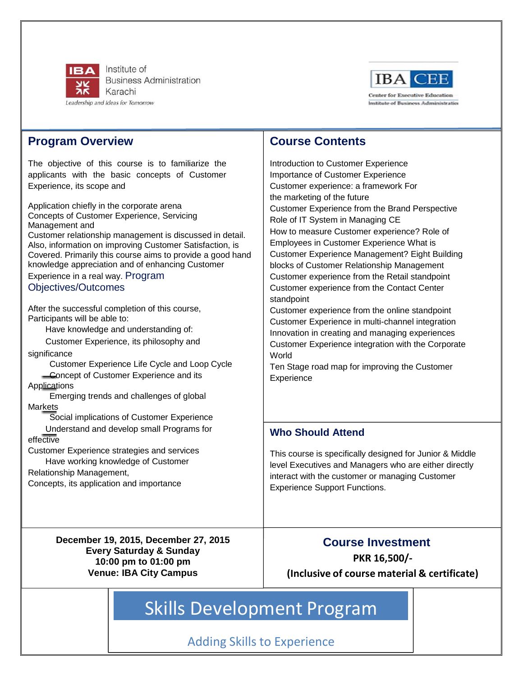

Institute of **Business Administration** Karachi Leadership and Ideas for Tomorrow



### **Program Overview**

The objective of this course is to familiarize the applicants with the basic concepts of Customer Experience, its scope and

Application chiefly in the corporate arena Concepts of Customer Experience, Servicing Management and Customer relationship management is discussed in detail. Also, information on improving Customer Satisfaction, is Covered. Primarily this course aims to provide a good hand knowledge appreciation and of enhancing Customer Experience in a real way. Program

### Objectives/Outcomes

After the successful completion of this course, Participants will be able to:

Have knowledge and understanding of:

Customer Experience, its philosophy and significance

Customer Experience Life Cycle and Loop Cycle **Concept of Customer Experience and its** 

**Applications** 

Emerging trends and challenges of global Markets

Social implications of Customer Experience

Understand and develop small Programs for effective

Customer Experience strategies and services Have working knowledge of Customer

Relationship Management,

Concepts, its application and importance

## **Course Contents**

Introduction to Customer Experience Importance of Customer Experience Customer experience: a framework For the marketing of the future Customer Experience from the Brand Perspective Role of IT System in Managing CE How to measure Customer experience? Role of Employees in Customer Experience What is Customer Experience Management? Eight Building blocks of Customer Relationship Management Customer experience from the Retail standpoint Customer experience from the Contact Center standpoint

Customer experience from the online standpoint Customer Experience in multi-channel integration Innovation in creating and managing experiences Customer Experience integration with the Corporate World

Ten Stage road map for improving the Customer **Experience** 

### **Who Should Attend**

This course is specifically designed for Junior & Middle level Executives and Managers who are either directly interact with the customer or managing Customer Experience Support Functions.

**December 19, 2015, December 27, 2015 Every Saturday & Sunday 10:00 pm to 01:00 pm Venue: IBA City Campus**

# **Course Investment PKR 16,500/‐**

**(Inclusive of course material & certificate)**

# Skills Development Program

Adding Skills to Experience